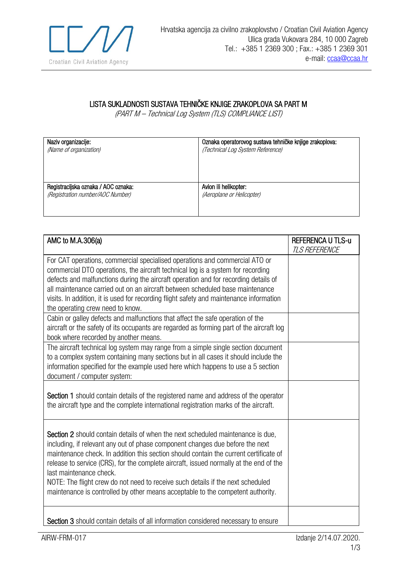

## LISTA SUKLADNOSTI SUSTAVA TEHNIČKE KNJIGE ZRAKOPLOVA SA PART M

(PART M – Technical Log System (TLS) COMPLIANCE LIST)

| Naziv organizacije:                 | Oznaka operatorovog sustava tehničke knjige zrakoplova: |
|-------------------------------------|---------------------------------------------------------|
| (Name of organization)              | (Technical Log System Reference)                        |
| Registracijska oznaka / AOC oznaka: | Avion ili helikopter:                                   |
| (Registration number/AOC Number)    | (Aeroplane or Helicopter)                               |

| AMC to M.A.306(a)                                                                                                                                                                                                                                                                                                                                                                                                                                                                                                                                    | <b>REFERENCA U TLS-u</b><br><b>TLS REFERENCE</b> |
|------------------------------------------------------------------------------------------------------------------------------------------------------------------------------------------------------------------------------------------------------------------------------------------------------------------------------------------------------------------------------------------------------------------------------------------------------------------------------------------------------------------------------------------------------|--------------------------------------------------|
| For CAT operations, commercial specialised operations and commercial ATO or<br>commercial DTO operations, the aircraft technical log is a system for recording<br>defects and malfunctions during the aircraft operation and for recording details of<br>all maintenance carried out on an aircraft between scheduled base maintenance<br>visits. In addition, it is used for recording flight safety and maintenance information<br>the operating crew need to know.                                                                                |                                                  |
| Cabin or galley defects and malfunctions that affect the safe operation of the<br>aircraft or the safety of its occupants are regarded as forming part of the aircraft log<br>book where recorded by another means.                                                                                                                                                                                                                                                                                                                                  |                                                  |
| The aircraft technical log system may range from a simple single section document<br>to a complex system containing many sections but in all cases it should include the<br>information specified for the example used here which happens to use a 5 section<br>document / computer system:                                                                                                                                                                                                                                                          |                                                  |
| Section 1 should contain details of the registered name and address of the operator<br>the aircraft type and the complete international registration marks of the aircraft.                                                                                                                                                                                                                                                                                                                                                                          |                                                  |
| Section 2 should contain details of when the next scheduled maintenance is due,<br>including, if relevant any out of phase component changes due before the next<br>maintenance check. In addition this section should contain the current certificate of<br>release to service (CRS), for the complete aircraft, issued normally at the end of the<br>last maintenance check.<br>NOTE: The flight crew do not need to receive such details if the next scheduled<br>maintenance is controlled by other means acceptable to the competent authority. |                                                  |
| Section 3 should contain details of all information considered necessary to ensure                                                                                                                                                                                                                                                                                                                                                                                                                                                                   |                                                  |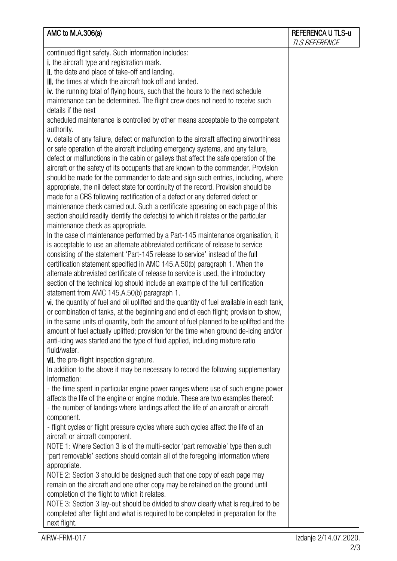| AMC to M.A.306(a)                                                                          | <b>REFERENCA U TLS-u</b><br><b>TLS REFERENCE</b> |
|--------------------------------------------------------------------------------------------|--------------------------------------------------|
| continued flight safety. Such information includes:                                        |                                                  |
| <i>i.</i> the aircraft type and registration mark.                                         |                                                  |
| ii. the date and place of take-off and landing.                                            |                                                  |
| <b>iii.</b> the times at which the aircraft took off and landed.                           |                                                  |
| iv. the running total of flying hours, such that the hours to the next schedule            |                                                  |
| maintenance can be determined. The flight crew does not need to receive such               |                                                  |
| details if the next                                                                        |                                                  |
| scheduled maintenance is controlled by other means acceptable to the competent             |                                                  |
| authority.                                                                                 |                                                  |
| v. details of any failure, defect or malfunction to the aircraft affecting airworthiness   |                                                  |
| or safe operation of the aircraft including emergency systems, and any failure,            |                                                  |
| defect or malfunctions in the cabin or galleys that affect the safe operation of the       |                                                  |
| aircraft or the safety of its occupants that are known to the commander. Provision         |                                                  |
| should be made for the commander to date and sign such entries, including, where           |                                                  |
| appropriate, the nil defect state for continuity of the record. Provision should be        |                                                  |
| made for a CRS following rectification of a defect or any deferred defect or               |                                                  |
| maintenance check carried out. Such a certificate appearing on each page of this           |                                                  |
| section should readily identify the defect(s) to which it relates or the particular        |                                                  |
| maintenance check as appropriate.                                                          |                                                  |
| In the case of maintenance performed by a Part-145 maintenance organisation, it            |                                                  |
| is acceptable to use an alternate abbreviated certificate of release to service            |                                                  |
| consisting of the statement 'Part-145 release to service' instead of the full              |                                                  |
| certification statement specified in AMC 145.A.50(b) paragraph 1. When the                 |                                                  |
| alternate abbreviated certificate of release to service is used, the introductory          |                                                  |
| section of the technical log should include an example of the full certification           |                                                  |
| statement from AMC 145.A.50(b) paragraph 1.                                                |                                                  |
| vi. the quantity of fuel and oil uplifted and the quantity of fuel available in each tank, |                                                  |
| or combination of tanks, at the beginning and end of each flight; provision to show,       |                                                  |
| in the same units of quantity, both the amount of fuel planned to be uplifted and the      |                                                  |
| amount of fuel actually uplifted; provision for the time when ground de-icing and/or       |                                                  |
| anti-icing was started and the type of fluid applied, including mixture ratio              |                                                  |
| fluid/water.                                                                               |                                                  |
| vii. the pre-flight inspection signature.                                                  |                                                  |
| In addition to the above it may be necessary to record the following supplementary         |                                                  |
| information:                                                                               |                                                  |
| - the time spent in particular engine power ranges where use of such engine power          |                                                  |
| affects the life of the engine or engine module. These are two examples thereof:           |                                                  |
| - the number of landings where landings affect the life of an aircraft or aircraft         |                                                  |
| component.                                                                                 |                                                  |
| - flight cycles or flight pressure cycles where such cycles affect the life of an          |                                                  |
| aircraft or aircraft component.                                                            |                                                  |
| NOTE 1: Where Section 3 is of the multi-sector 'part removable' type then such             |                                                  |
| 'part removable' sections should contain all of the foregoing information where            |                                                  |
| appropriate.                                                                               |                                                  |
| NOTE 2: Section 3 should be designed such that one copy of each page may                   |                                                  |
| remain on the aircraft and one other copy may be retained on the ground until              |                                                  |
| completion of the flight to which it relates.                                              |                                                  |
| NOTE 3: Section 3 lay-out should be divided to show clearly what is required to be         |                                                  |
| completed after flight and what is required to be completed in preparation for the         |                                                  |
| next flight.                                                                               |                                                  |